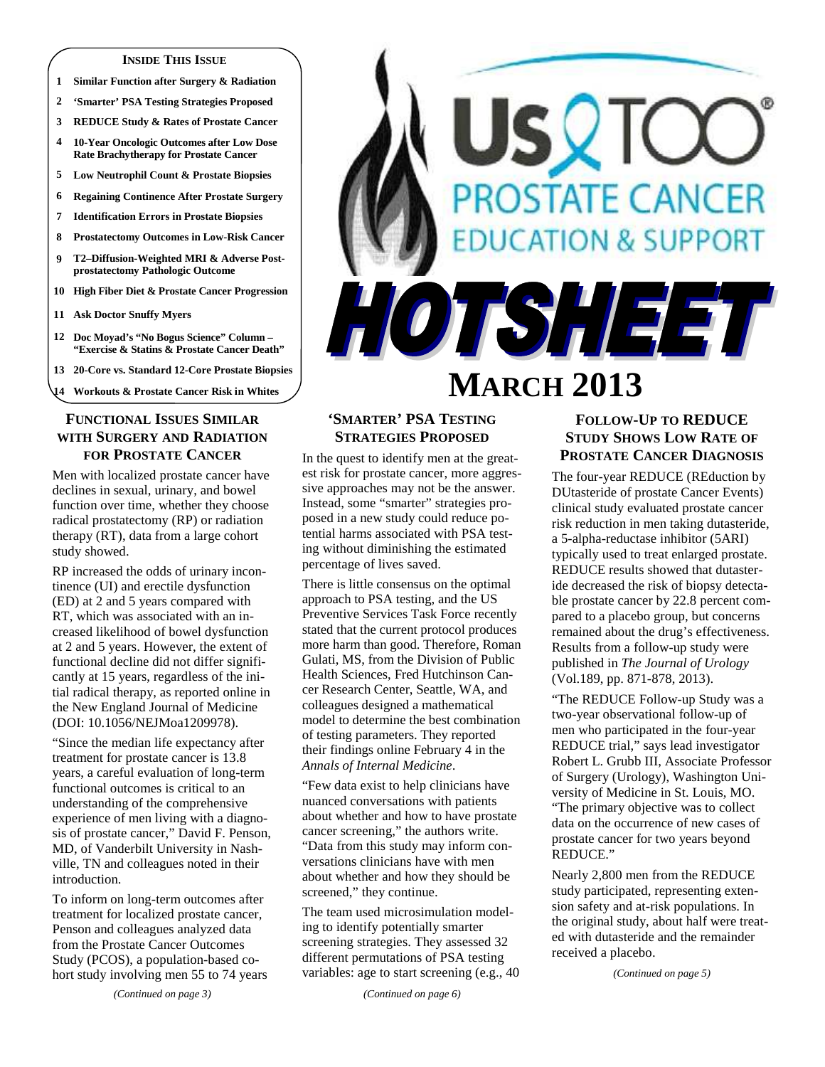#### **INSIDE THIS ISSUE**

- **1 Similar Function after Surgery & Radiation**
- **2 'Smarter' PSA Testing Strategies Proposed**
- **3 REDUCE Study & Rates of Prostate Cancer**
- **4 10-Year Oncologic Outcomes after Low Dose Rate Brachytherapy for Prostate Cancer**
- **5 Low Neutrophil Count & Prostate Biopsies**
- **6 Regaining Continence After Prostate Surgery**
- **7 Identification Errors in Prostate Biopsies 8 Prostatectomy Outcomes in Low-Risk Cancer**
- **9 T2–Diffusion-Weighted MRI & Adverse Postprostatectomy Pathologic Outcome**
- **10 High Fiber Diet & Prostate Cancer Progression**
- **11 Ask Doctor Snuffy Myers**
- **12 Doc Moyad's "No Bogus Science" Column "Exercise & Statins & Prostate Cancer Death"**
- **13 20-Core vs. Standard 12-Core Prostate Biopsies**
- **14 Workouts & Prostate Cancer Risk in Whites**

#### **FUNCTIONAL ISSUES SIMILAR WITH SURGERY AND RADIATION FOR PROSTATE CANCER**

Men with localized prostate cancer have declines in sexual, urinary, and bowel function over time, whether they choose radical prostatectomy (RP) or radiation therapy (RT), data from a large cohort study showed.

RP increased the odds of urinary incontinence (UI) and erectile dysfunction (ED) at 2 and 5 years compared with RT, which was associated with an increased likelihood of bowel dysfunction at 2 and 5 years. However, the extent of functional decline did not differ significantly at 15 years, regardless of the initial radical therapy, as reported online in the New England Journal of Medicine (DOI: 10.1056/NEJMoa1209978).

"Since the median life expectancy after treatment for prostate cancer is 13.8 years, a careful evaluation of long-term functional outcomes is critical to an understanding of the comprehensive experience of men living with a diagnosis of prostate cancer," David F. Penson, MD, of Vanderbilt University in Nashville, TN and colleagues noted in their introduction.

To inform on long-term outcomes after treatment for localized prostate cancer, Penson and colleagues analyzed data from the Prostate Cancer Outcomes Study (PCOS), a population-based cohort study involving men 55 to 74 years

*(Continued on page 3)* 

# *OSTATE CANCER* **EATION & SUPPORT** HOTSHEET **MARCH 2013**

# **'SMARTER' PSA TESTING STRATEGIES PROPOSED**

In the quest to identify men at the greatest risk for prostate cancer, more aggressive approaches may not be the answer. Instead, some "smarter" strategies proposed in a new study could reduce potential harms associated with PSA testing without diminishing the estimated percentage of lives saved.

There is little consensus on the optimal approach to PSA testing, and the US Preventive Services Task Force recently stated that the current protocol produces more harm than good. Therefore, Roman Gulati, MS, from the Division of Public Health Sciences, Fred Hutchinson Cancer Research Center, Seattle, WA, and colleagues designed a mathematical model to determine the best combination of testing parameters. They reported their findings online February 4 in the *Annals of Internal Medicine*.

"Few data exist to help clinicians have nuanced conversations with patients about whether and how to have prostate cancer screening," the authors write. "Data from this study may inform conversations clinicians have with men about whether and how they should be screened," they continue.

The team used microsimulation modeling to identify potentially smarter screening strategies. They assessed 32 different permutations of PSA testing variables: age to start screening (e.g., 40

*(Continued on page 6)* 

# **FOLLOW-UP TO REDUCE STUDY SHOWS LOW RATE OF PROSTATE CANCER DIAGNOSIS**

The four-year REDUCE (REduction by DUtasteride of prostate Cancer Events) clinical study evaluated prostate cancer risk reduction in men taking dutasteride, a 5-alpha-reductase inhibitor (5ARI) typically used to treat enlarged prostate. REDUCE results showed that dutasteride decreased the risk of biopsy detectable prostate cancer by 22.8 percent compared to a placebo group, but concerns remained about the drug's effectiveness. Results from a follow-up study were published in *The Journal of Urology*  (Vol.189, pp. 871-878, 2013).

"The REDUCE Follow-up Study was a two-year observational follow-up of men who participated in the four-year REDUCE trial," says lead investigator Robert L. Grubb III, Associate Professor of Surgery (Urology), Washington University of Medicine in St. Louis, MO. "The primary objective was to collect data on the occurrence of new cases of prostate cancer for two years beyond REDUCE."

Nearly 2,800 men from the REDUCE study participated, representing extension safety and at-risk populations. In the original study, about half were treated with dutasteride and the remainder received a placebo.

*(Continued on page 5)*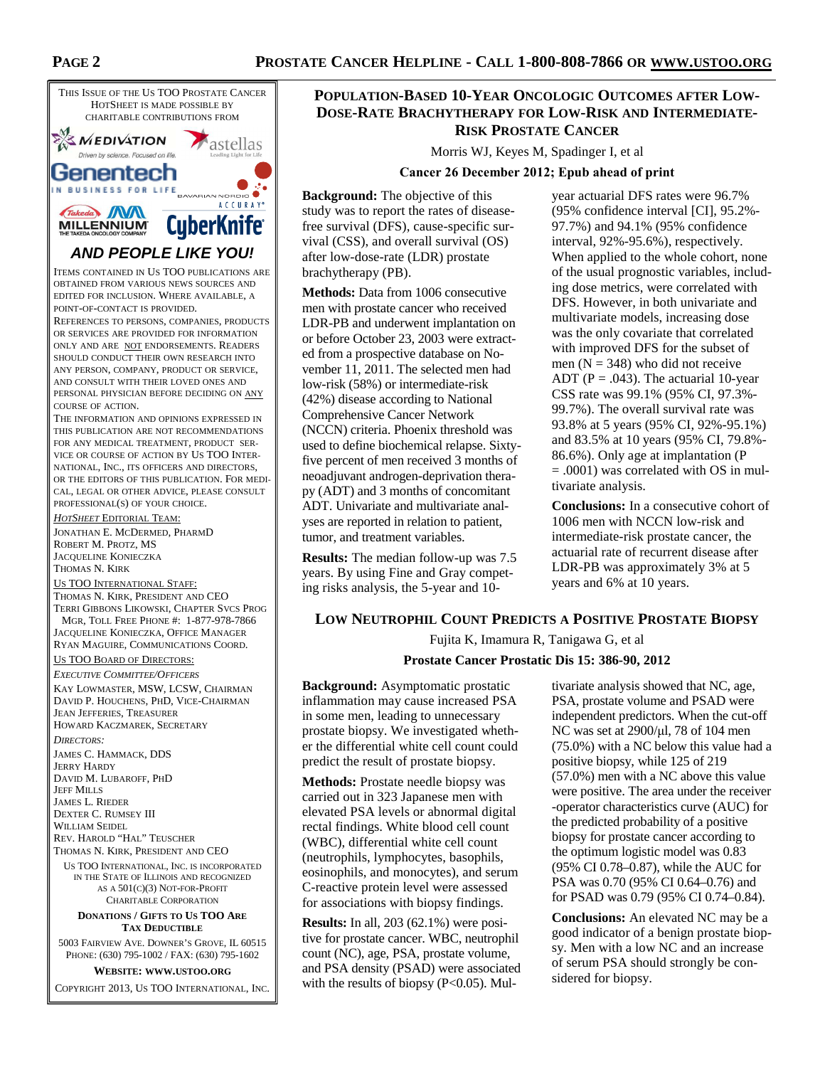

#### US TOO INTERNATIONAL STAFF:

THOMAS N. KIRK, PRESIDENT AND CEO TERRI GIBBONS LIKOWSKI, CHAPTER SVCS PROG MGR, TOLL FREE PHONE #: 1-877-978-7866 JACQUELINE KONIECZKA, OFFICE MANAGER

RYAN MAGUIRE, COMMUNICATIONS COORD. US TOO BOARD OF DIRECTORS:

#### *EXECUTIVE COMMITTEE/OFFICERS*

KAY LOWMASTER, MSW, LCSW, CHAIRMAN DAVID P. HOUCHENS, PHD, VICE-CHAIRMAN JEAN JEFFERIES, TREASURER HOWARD KACZMAREK, SECRETARY

*DIRECTORS:*  JAMES C. HAMMACK, DDS JERRY HARDY DAVID M. LUBAROFF, PHD JEFF MILLS JAMES L. RIEDER DEXTER C. RUMSEY III WILLIAM SEIDEL REV. HAROLD "HAL" TEUSCHER

THOMAS N. KIRK, PRESIDENT AND CEO

US TOO INTERNATIONAL, INC. IS INCORPORATED IN THE STATE OF ILLINOIS AND RECOGNIZED AS A 501(C)(3) NOT-FOR-PROFIT CHARITABLE CORPORATION

#### **DONATIONS / GIFTS TO US TOO ARE TAX DEDUCTIBLE**

5003 FAIRVIEW AVE. DOWNER'S GROVE, IL 60515 PHONE: (630) 795-1002 / FAX: (630) 795-1602

**WEBSITE: WWW.USTOO.ORG**

COPYRIGHT 2013, US TOO INTERNATIONAL, INC.

# **POPULATION-BASED 10-YEAR ONCOLOGIC OUTCOMES AFTER LOW-DOSE-RATE BRACHYTHERAPY FOR LOW-RISK AND INTERMEDIATE-RISK PROSTATE CANCER**

Morris WJ, Keyes M, Spadinger I, et al

#### **Cancer 26 December 2012; Epub ahead of print**

**Background:** The objective of this study was to report the rates of diseasefree survival (DFS), cause-specific survival (CSS), and overall survival (OS) after low-dose-rate (LDR) prostate brachytherapy (PB).

**Methods:** Data from 1006 consecutive men with prostate cancer who received LDR-PB and underwent implantation on or before October 23, 2003 were extracted from a prospective database on November 11, 2011. The selected men had low-risk (58%) or intermediate-risk (42%) disease according to National Comprehensive Cancer Network (NCCN) criteria. Phoenix threshold was used to define biochemical relapse. Sixtyfive percent of men received 3 months of neoadjuvant androgen-deprivation therapy (ADT) and 3 months of concomitant ADT. Univariate and multivariate analyses are reported in relation to patient, tumor, and treatment variables.

**Results:** The median follow-up was 7.5 years. By using Fine and Gray competing risks analysis, the 5-year and 10-

year actuarial DFS rates were 96.7% (95% confidence interval [CI], 95.2%- 97.7%) and 94.1% (95% confidence interval, 92%-95.6%), respectively. When applied to the whole cohort, none of the usual prognostic variables, including dose metrics, were correlated with DFS. However, in both univariate and multivariate models, increasing dose was the only covariate that correlated with improved DFS for the subset of men ( $N = 348$ ) who did not receive ADT ( $P = .043$ ). The actuarial 10-year CSS rate was 99.1% (95% CI, 97.3%- 99.7%). The overall survival rate was 93.8% at 5 years (95% CI, 92%-95.1%) and 83.5% at 10 years (95% CI, 79.8%- 86.6%). Only age at implantation (P = .0001) was correlated with OS in multivariate analysis.

**Conclusions:** In a consecutive cohort of 1006 men with NCCN low-risk and intermediate-risk prostate cancer, the actuarial rate of recurrent disease after LDR-PB was approximately 3% at 5 years and 6% at 10 years.

#### **LOW NEUTROPHIL COUNT PREDICTS A POSITIVE PROSTATE BIOPSY**

Fujita K, Imamura R, Tanigawa G, et al

#### **Prostate Cancer Prostatic Dis 15: 386-90, 2012**

**Background:** Asymptomatic prostatic inflammation may cause increased PSA in some men, leading to unnecessary prostate biopsy. We investigated whether the differential white cell count could predict the result of prostate biopsy.

**Methods:** Prostate needle biopsy was carried out in 323 Japanese men with elevated PSA levels or abnormal digital rectal findings. White blood cell count (WBC), differential white cell count (neutrophils, lymphocytes, basophils, eosinophils, and monocytes), and serum C-reactive protein level were assessed for associations with biopsy findings.

**Results:** In all, 203 (62.1%) were positive for prostate cancer. WBC, neutrophil count (NC), age, PSA, prostate volume, and PSA density (PSAD) were associated with the results of biopsy  $(P<0.05)$ . Mul-

tivariate analysis showed that NC, age, PSA, prostate volume and PSAD were independent predictors. When the cut-off NC was set at 2900/µl, 78 of 104 men (75.0%) with a NC below this value had a positive biopsy, while 125 of 219 (57.0%) men with a NC above this value were positive. The area under the receiver -operator characteristics curve (AUC) for the predicted probability of a positive biopsy for prostate cancer according to the optimum logistic model was 0.83 (95% CI 0.78–0.87), while the AUC for PSA was 0.70 (95% CI 0.64–0.76) and for PSAD was 0.79 (95% CI 0.74–0.84).

**Conclusions:** An elevated NC may be a good indicator of a benign prostate biopsy. Men with a low NC and an increase of serum PSA should strongly be considered for biopsy.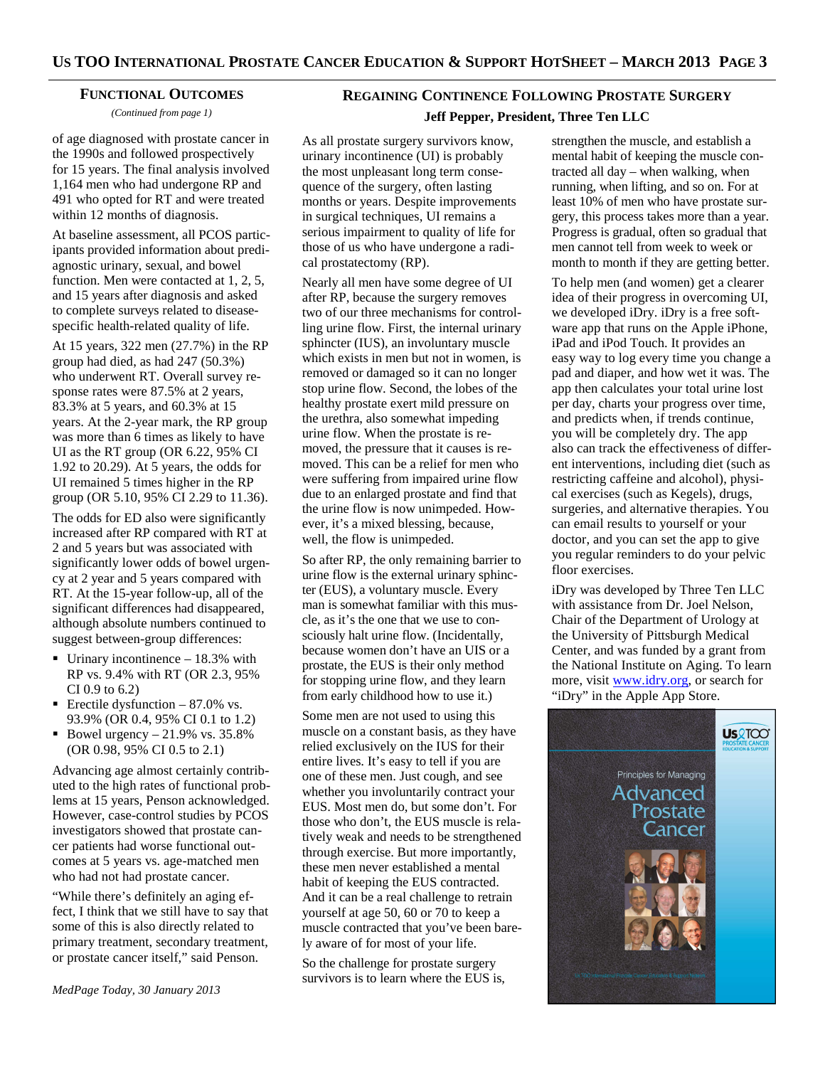#### **FUNCTIONAL OUTCOMES**

*(Continued from page 1)* 

of age diagnosed with prostate cancer in the 1990s and followed prospectively for 15 years. The final analysis involved 1,164 men who had undergone RP and 491 who opted for RT and were treated within 12 months of diagnosis.

At baseline assessment, all PCOS participants provided information about prediagnostic urinary, sexual, and bowel function. Men were contacted at 1, 2, 5, and 15 years after diagnosis and asked to complete surveys related to diseasespecific health-related quality of life.

At 15 years, 322 men (27.7%) in the RP group had died, as had 247 (50.3%) who underwent RT. Overall survey response rates were 87.5% at 2 years, 83.3% at 5 years, and 60.3% at 15 years. At the 2-year mark, the RP group was more than 6 times as likely to have UI as the RT group (OR 6.22, 95% CI 1.92 to 20.29). At 5 years, the odds for UI remained 5 times higher in the RP group (OR 5.10, 95% CI 2.29 to 11.36).

The odds for ED also were significantly increased after RP compared with RT at 2 and 5 years but was associated with significantly lower odds of bowel urgency at 2 year and 5 years compared with RT. At the 15-year follow-up, all of the significant differences had disappeared, although absolute numbers continued to suggest between-group differences:

- $\blacksquare$  Urinary incontinence 18.3% with RP vs. 9.4% with RT (OR 2.3, 95% CI 0.9 to 6.2)
- Erectile dysfunction  $-87.0\%$  vs. 93.9% (OR 0.4, 95% CI 0.1 to 1.2)
- Bowel urgency  $-21.9\%$  vs. 35.8% (OR 0.98, 95% CI 0.5 to 2.1)

Advancing age almost certainly contributed to the high rates of functional problems at 15 years, Penson acknowledged. However, case-control studies by PCOS investigators showed that prostate cancer patients had worse functional outcomes at 5 years vs. age-matched men who had not had prostate cancer.

"While there's definitely an aging effect, I think that we still have to say that some of this is also directly related to primary treatment, secondary treatment, or prostate cancer itself," said Penson.

# **REGAINING CONTINENCE FOLLOWING PROSTATE SURGERY Jeff Pepper, President, Three Ten LLC**

As all prostate surgery survivors know, urinary incontinence (UI) is probably the most unpleasant long term consequence of the surgery, often lasting months or years. Despite improvements in surgical techniques, UI remains a serious impairment to quality of life for those of us who have undergone a radical prostatectomy (RP).

Nearly all men have some degree of UI after RP, because the surgery removes two of our three mechanisms for controlling urine flow. First, the internal urinary sphincter (IUS), an involuntary muscle which exists in men but not in women, is removed or damaged so it can no longer stop urine flow. Second, the lobes of the healthy prostate exert mild pressure on the urethra, also somewhat impeding urine flow. When the prostate is removed, the pressure that it causes is removed. This can be a relief for men who were suffering from impaired urine flow due to an enlarged prostate and find that the urine flow is now unimpeded. However, it's a mixed blessing, because, well, the flow is unimpeded.

So after RP, the only remaining barrier to urine flow is the external urinary sphincter (EUS), a voluntary muscle. Every man is somewhat familiar with this muscle, as it's the one that we use to consciously halt urine flow. (Incidentally, because women don't have an UIS or a prostate, the EUS is their only method for stopping urine flow, and they learn from early childhood how to use it.)

Some men are not used to using this muscle on a constant basis, as they have relied exclusively on the IUS for their entire lives. It's easy to tell if you are one of these men. Just cough, and see whether you involuntarily contract your EUS. Most men do, but some don't. For those who don't, the EUS muscle is relatively weak and needs to be strengthened through exercise. But more importantly, these men never established a mental habit of keeping the EUS contracted. And it can be a real challenge to retrain yourself at age 50, 60 or 70 to keep a muscle contracted that you've been barely aware of for most of your life.

So the challenge for prostate surgery survivors is to learn where the EUS is,

strengthen the muscle, and establish a mental habit of keeping the muscle contracted all day – when walking, when running, when lifting, and so on. For at least 10% of men who have prostate surgery, this process takes more than a year. Progress is gradual, often so gradual that men cannot tell from week to week or month to month if they are getting better.

To help men (and women) get a clearer idea of their progress in overcoming UI, we developed iDry. iDry is a free software app that runs on the Apple iPhone, iPad and iPod Touch. It provides an easy way to log every time you change a pad and diaper, and how wet it was. The app then calculates your total urine lost per day, charts your progress over time, and predicts when, if trends continue, you will be completely dry. The app also can track the effectiveness of different interventions, including diet (such as restricting caffeine and alcohol), physical exercises (such as Kegels), drugs, surgeries, and alternative therapies. You can email results to yourself or your doctor, and you can set the app to give you regular reminders to do your pelvic floor exercises.

iDry was developed by Three Ten LLC with assistance from Dr. Joel Nelson, Chair of the Department of Urology at the University of Pittsburgh Medical Center, and was funded by a grant from the National Institute on Aging. To learn more, visit www.idry.org, or search for "iDry" in the Apple App Store.

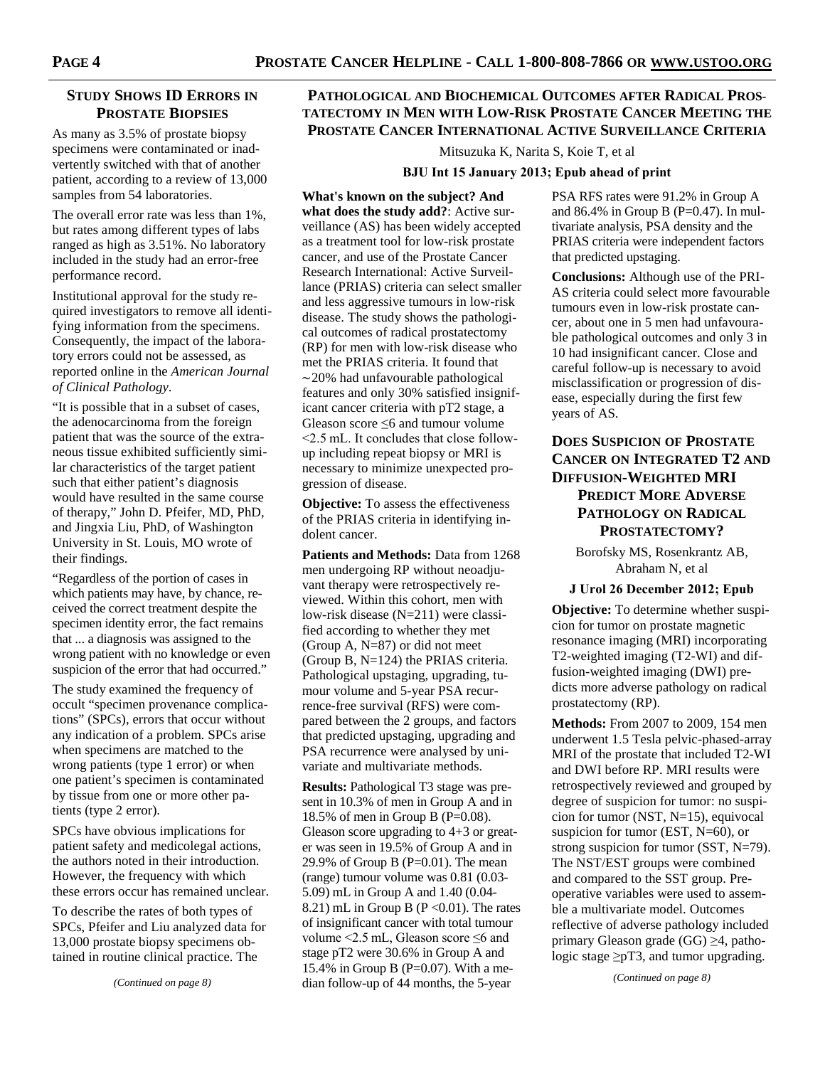# **STUDY SHOWS ID ERRORS IN PROSTATE BIOPSIES**

As many as 3.5% of prostate biopsy specimens were contaminated or inadvertently switched with that of another patient, according to a review of 13,000 samples from 54 laboratories.

The overall error rate was less than 1%, but rates among different types of labs ranged as high as 3.51%. No laboratory included in the study had an error-free performance record.

Institutional approval for the study required investigators to remove all identifying information from the specimens. Consequently, the impact of the laboratory errors could not be assessed, as reported online in the *American Journal of Clinical Pathology*.

"It is possible that in a subset of cases, the adenocarcinoma from the foreign patient that was the source of the extraneous tissue exhibited sufficiently similar characteristics of the target patient such that either patient's diagnosis would have resulted in the same course of therapy," John D. Pfeifer, MD, PhD, and Jingxia Liu, PhD, of Washington University in St. Louis, MO wrote of their findings.

"Regardless of the portion of cases in which patients may have, by chance, received the correct treatment despite the specimen identity error, the fact remains that ... a diagnosis was assigned to the wrong patient with no knowledge or even suspicion of the error that had occurred."

The study examined the frequency of occult "specimen provenance complications" (SPCs), errors that occur without any indication of a problem. SPCs arise when specimens are matched to the wrong patients (type 1 error) or when one patient's specimen is contaminated by tissue from one or more other patients (type 2 error).

SPCs have obvious implications for patient safety and medicolegal actions, the authors noted in their introduction. However, the frequency with which these errors occur has remained unclear.

To describe the rates of both types of SPCs, Pfeifer and Liu analyzed data for 13,000 prostate biopsy specimens obtained in routine clinical practice. The

# **PATHOLOGICAL AND BIOCHEMICAL OUTCOMES AFTER RADICAL PROS-TATECTOMY IN MEN WITH LOW-RISK PROSTATE CANCER MEETING THE PROSTATE CANCER INTERNATIONAL ACTIVE SURVEILLANCE CRITERIA**

Mitsuzuka K, Narita S, Koie T, et al

#### **BJU Int 15 January 2013; Epub ahead of print**

**What's known on the subject? And what does the study add?**: Active surveillance (AS) has been widely accepted as a treatment tool for low-risk prostate cancer, and use of the Prostate Cancer Research International: Active Surveillance (PRIAS) criteria can select smaller and less aggressive tumours in low-risk disease. The study shows the pathological outcomes of radical prostatectomy (RP) for men with low-risk disease who met the PRIAS criteria. It found that ∼20% had unfavourable pathological features and only 30% satisfied insignificant cancer criteria with pT2 stage, a Gleason score ≤6 and tumour volume <2.5 mL. It concludes that close followup including repeat biopsy or MRI is necessary to minimize unexpected progression of disease.

**Objective:** To assess the effectiveness of the PRIAS criteria in identifying indolent cancer.

**Patients and Methods:** Data from 1268 men undergoing RP without neoadjuvant therapy were retrospectively reviewed. Within this cohort, men with low-risk disease (N=211) were classified according to whether they met (Group A, N=87) or did not meet (Group B, N=124) the PRIAS criteria. Pathological upstaging, upgrading, tumour volume and 5-year PSA recurrence-free survival (RFS) were compared between the 2 groups, and factors that predicted upstaging, upgrading and PSA recurrence were analysed by univariate and multivariate methods.

**Results:** Pathological T3 stage was present in 10.3% of men in Group A and in 18.5% of men in Group B (P=0.08). Gleason score upgrading to 4+3 or greater was seen in 19.5% of Group A and in 29.9% of Group B ( $P=0.01$ ). The mean (range) tumour volume was 0.81 (0.03- 5.09) mL in Group A and 1.40 (0.04- 8.21) mL in Group B ( $P \le 0.01$ ). The rates of insignificant cancer with total tumour volume <2.5 mL, Gleason score ≤6 and stage pT2 were 30.6% in Group A and 15.4% in Group B ( $P=0.07$ ). With a median follow-up of 44 months, the 5-year

PSA RFS rates were 91.2% in Group A and  $86.4\%$  in Group B (P=0.47). In multivariate analysis, PSA density and the PRIAS criteria were independent factors that predicted upstaging.

**Conclusions:** Although use of the PRI-AS criteria could select more favourable tumours even in low-risk prostate cancer, about one in 5 men had unfavourable pathological outcomes and only 3 in 10 had insignificant cancer. Close and careful follow-up is necessary to avoid misclassification or progression of disease, especially during the first few years of AS.

# **DOES SUSPICION OF PROSTATE CANCER ON INTEGRATED T2 AND DIFFUSION-WEIGHTED MRI PREDICT MORE ADVERSE PATHOLOGY ON RADICAL PROSTATECTOMY?**

Borofsky MS, Rosenkrantz AB, Abraham N, et al

#### **J Urol 26 December 2012; Epub**

**Objective:** To determine whether suspicion for tumor on prostate magnetic resonance imaging (MRI) incorporating T2-weighted imaging (T2-WI) and diffusion-weighted imaging (DWI) predicts more adverse pathology on radical prostatectomy (RP).

**Methods:** From 2007 to 2009, 154 men underwent 1.5 Tesla pelvic-phased-array MRI of the prostate that included T2-WI and DWI before RP. MRI results were retrospectively reviewed and grouped by degree of suspicion for tumor: no suspicion for tumor (NST, N=15), equivocal suspicion for tumor (EST, N=60), or strong suspicion for tumor (SST, N=79). The NST/EST groups were combined and compared to the SST group. Preoperative variables were used to assemble a multivariate model. Outcomes reflective of adverse pathology included primary Gleason grade (GG) ≥4, pathologic stage  $\geq pT3$ , and tumor upgrading.

*(Continued on page 8)*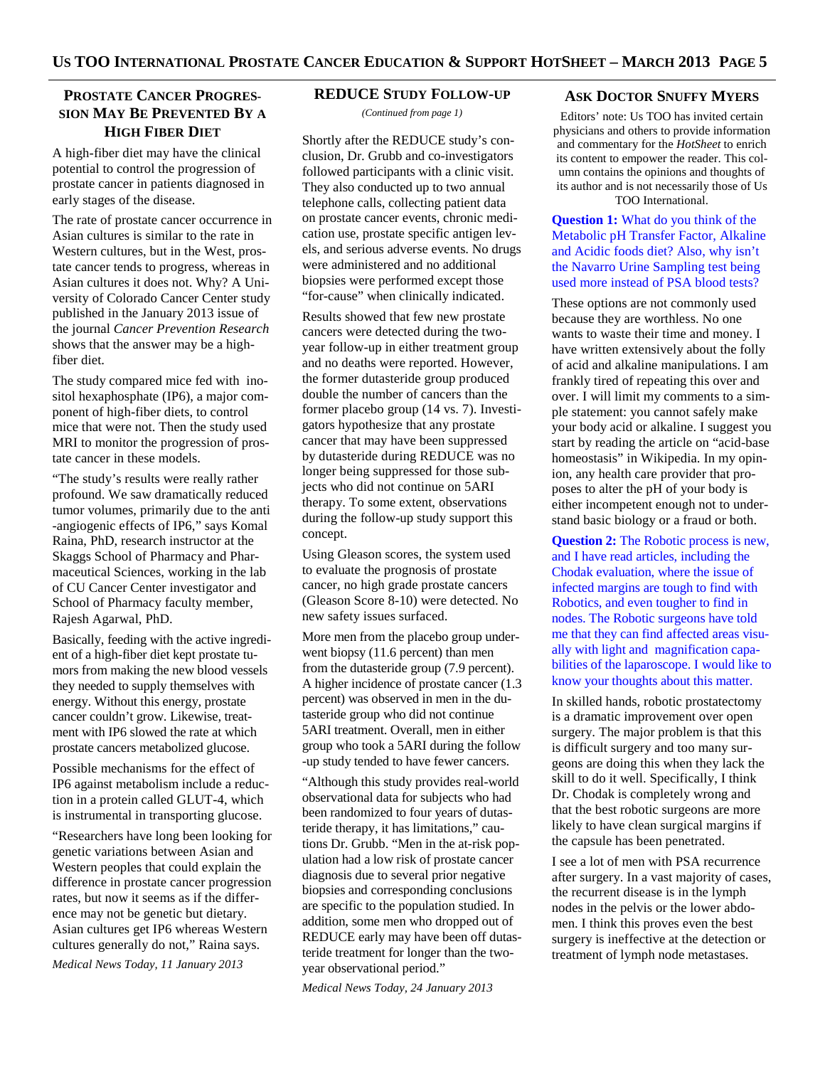# **PROSTATE CANCER PROGRES-SION MAY BE PREVENTED BY A HIGH FIBER DIET**

A high-fiber diet may have the clinical potential to control the progression of prostate cancer in patients diagnosed in early stages of the disease.

The rate of prostate cancer occurrence in Asian cultures is similar to the rate in Western cultures, but in the West, prostate cancer tends to progress, whereas in Asian cultures it does not. Why? A University of Colorado Cancer Center study published in the January 2013 issue of the journal *Cancer Prevention Research*  shows that the answer may be a highfiber diet.

The study compared mice fed with inositol hexaphosphate (IP6), a major component of high-fiber diets, to control mice that were not. Then the study used MRI to monitor the progression of prostate cancer in these models.

"The study's results were really rather profound. We saw dramatically reduced tumor volumes, primarily due to the anti -angiogenic effects of IP6," says Komal Raina, PhD, research instructor at the Skaggs School of Pharmacy and Pharmaceutical Sciences, working in the lab of CU Cancer Center investigator and School of Pharmacy faculty member, Rajesh Agarwal, PhD.

Basically, feeding with the active ingredient of a high-fiber diet kept prostate tumors from making the new blood vessels they needed to supply themselves with energy. Without this energy, prostate cancer couldn't grow. Likewise, treatment with IP6 slowed the rate at which prostate cancers metabolized glucose.

Possible mechanisms for the effect of IP6 against metabolism include a reduction in a protein called GLUT-4, which is instrumental in transporting glucose.

"Researchers have long been looking for genetic variations between Asian and Western peoples that could explain the difference in prostate cancer progression rates, but now it seems as if the difference may not be genetic but dietary. Asian cultures get IP6 whereas Western cultures generally do not," Raina says.

*Medical News Today, 11 January 2013* 

# **REDUCE STUDY FOLLOW-UP**

*(Continued from page 1)* 

Shortly after the REDUCE study's conclusion, Dr. Grubb and co-investigators followed participants with a clinic visit. They also conducted up to two annual telephone calls, collecting patient data on prostate cancer events, chronic medication use, prostate specific antigen levels, and serious adverse events. No drugs were administered and no additional biopsies were performed except those "for-cause" when clinically indicated.

Results showed that few new prostate cancers were detected during the twoyear follow-up in either treatment group and no deaths were reported. However, the former dutasteride group produced double the number of cancers than the former placebo group (14 vs. 7). Investigators hypothesize that any prostate cancer that may have been suppressed by dutasteride during REDUCE was no longer being suppressed for those subjects who did not continue on 5ARI therapy. To some extent, observations during the follow-up study support this concept.

Using Gleason scores, the system used to evaluate the prognosis of prostate cancer, no high grade prostate cancers (Gleason Score 8-10) were detected. No new safety issues surfaced.

More men from the placebo group underwent biopsy (11.6 percent) than men from the dutasteride group (7.9 percent). A higher incidence of prostate cancer (1.3 percent) was observed in men in the dutasteride group who did not continue 5ARI treatment. Overall, men in either group who took a 5ARI during the follow -up study tended to have fewer cancers.

"Although this study provides real-world observational data for subjects who had been randomized to four years of dutasteride therapy, it has limitations," cautions Dr. Grubb. "Men in the at-risk population had a low risk of prostate cancer diagnosis due to several prior negative biopsies and corresponding conclusions are specific to the population studied. In addition, some men who dropped out of REDUCE early may have been off dutasteride treatment for longer than the twoyear observational period."

*Medical News Today, 24 January 2013* 

#### **ASK DOCTOR SNUFFY MYERS**

Editors' note: Us TOO has invited certain physicians and others to provide information and commentary for the *HotSheet* to enrich its content to empower the reader. This column contains the opinions and thoughts of its author and is not necessarily those of Us TOO International.

**Question 1:** What do you think of the Metabolic pH Transfer Factor, Alkaline and Acidic foods diet? Also, why isn't the Navarro Urine Sampling test being used more instead of PSA blood tests?

These options are not commonly used because they are worthless. No one wants to waste their time and money. I have written extensively about the folly of acid and alkaline manipulations. I am frankly tired of repeating this over and over. I will limit my comments to a simple statement: you cannot safely make your body acid or alkaline. I suggest you start by reading the article on "acid-base homeostasis" in Wikipedia. In my opinion, any health care provider that proposes to alter the pH of your body is either incompetent enough not to understand basic biology or a fraud or both.

**Question 2:** The Robotic process is new, and I have read articles, including the Chodak evaluation, where the issue of infected margins are tough to find with Robotics, and even tougher to find in nodes. The Robotic surgeons have told me that they can find affected areas visually with light and magnification capabilities of the laparoscope. I would like to know your thoughts about this matter.

In skilled hands, robotic prostatectomy is a dramatic improvement over open surgery. The major problem is that this is difficult surgery and too many surgeons are doing this when they lack the skill to do it well. Specifically, I think Dr. Chodak is completely wrong and that the best robotic surgeons are more likely to have clean surgical margins if the capsule has been penetrated.

I see a lot of men with PSA recurrence after surgery. In a vast majority of cases, the recurrent disease is in the lymph nodes in the pelvis or the lower abdomen. I think this proves even the best surgery is ineffective at the detection or treatment of lymph node metastases.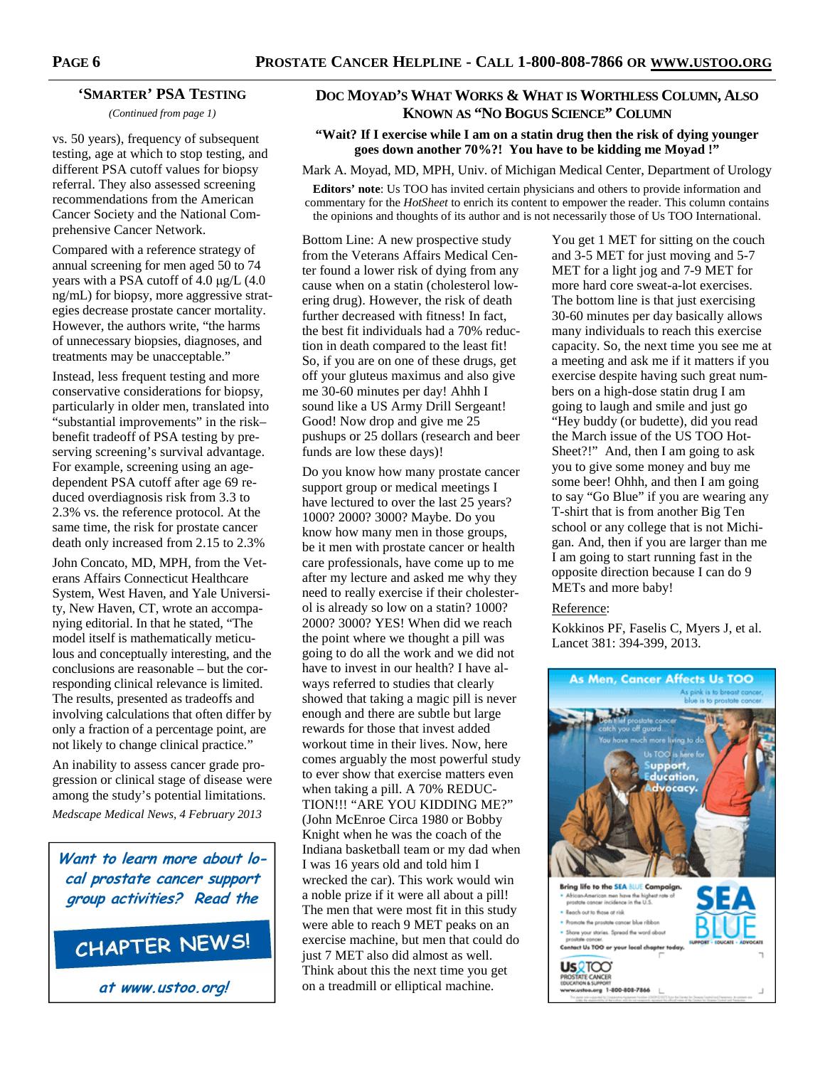#### **'SMARTER' PSA TESTING**

*(Continued from page 1)* 

vs. 50 years), frequency of subsequent testing, age at which to stop testing, and different PSA cutoff values for biopsy referral. They also assessed screening recommendations from the American Cancer Society and the National Comprehensive Cancer Network.

Compared with a reference strategy of annual screening for men aged 50 to 74 years with a PSA cutoff of 4.0  $\mu$ g/L (4.0) ng/mL) for biopsy, more aggressive strategies decrease prostate cancer mortality. However, the authors write, "the harms of unnecessary biopsies, diagnoses, and treatments may be unacceptable."

Instead, less frequent testing and more conservative considerations for biopsy, particularly in older men, translated into "substantial improvements" in the risk– benefit tradeoff of PSA testing by preserving screening's survival advantage. For example, screening using an agedependent PSA cutoff after age 69 reduced overdiagnosis risk from 3.3 to 2.3% vs. the reference protocol. At the same time, the risk for prostate cancer death only increased from 2.15 to 2.3%

John Concato, MD, MPH, from the Veterans Affairs Connecticut Healthcare System, West Haven, and Yale University, New Haven, CT, wrote an accompanying editorial. In that he stated, "The model itself is mathematically meticulous and conceptually interesting, and the conclusions are reasonable – but the corresponding clinical relevance is limited. The results, presented as tradeoffs and involving calculations that often differ by only a fraction of a percentage point, are not likely to change clinical practice."

An inability to assess cancer grade progression or clinical stage of disease were among the study's potential limitations. *Medscape Medical News, 4 February 2013* 

**Want to learn more about local prostate cancer support group activities? Read the**

# CHAPTER NEWS!

**at www.ustoo.org!**

# **DOC MOYAD'S WHAT WORKS & WHAT IS WORTHLESS COLUMN, ALSO KNOWN AS "NO BOGUS SCIENCE" COLUMN**

#### **"Wait? If I exercise while I am on a statin drug then the risk of dying younger goes down another 70%?! You have to be kidding me Moyad !"**

Mark A. Moyad, MD, MPH, Univ. of Michigan Medical Center, Department of Urology

**Editors' note**: Us TOO has invited certain physicians and others to provide information and commentary for the *HotSheet* to enrich its content to empower the reader. This column contains the opinions and thoughts of its author and is not necessarily those of Us TOO International.

Bottom Line: A new prospective study from the Veterans Affairs Medical Center found a lower risk of dying from any cause when on a statin (cholesterol lowering drug). However, the risk of death further decreased with fitness! In fact, the best fit individuals had a 70% reduction in death compared to the least fit! So, if you are on one of these drugs, get off your gluteus maximus and also give me 30-60 minutes per day! Ahhh I sound like a US Army Drill Sergeant! Good! Now drop and give me 25 pushups or 25 dollars (research and beer funds are low these days)!

Do you know how many prostate cancer support group or medical meetings I have lectured to over the last 25 years? 1000? 2000? 3000? Maybe. Do you know how many men in those groups, be it men with prostate cancer or health care professionals, have come up to me after my lecture and asked me why they need to really exercise if their cholesterol is already so low on a statin? 1000? 2000? 3000? YES! When did we reach the point where we thought a pill was going to do all the work and we did not have to invest in our health? I have always referred to studies that clearly showed that taking a magic pill is never enough and there are subtle but large rewards for those that invest added workout time in their lives. Now, here comes arguably the most powerful study to ever show that exercise matters even when taking a pill. A 70% REDUC-TION!!! "ARE YOU KIDDING ME?" (John McEnroe Circa 1980 or Bobby Knight when he was the coach of the Indiana basketball team or my dad when I was 16 years old and told him I wrecked the car). This work would win a noble prize if it were all about a pill! The men that were most fit in this study were able to reach 9 MET peaks on an exercise machine, but men that could do just 7 MET also did almost as well. Think about this the next time you get on a treadmill or elliptical machine.

You get 1 MET for sitting on the couch and 3-5 MET for just moving and 5-7 MET for a light jog and 7-9 MET for more hard core sweat-a-lot exercises. The bottom line is that just exercising 30-60 minutes per day basically allows many individuals to reach this exercise capacity. So, the next time you see me at a meeting and ask me if it matters if you exercise despite having such great numbers on a high-dose statin drug I am going to laugh and smile and just go "Hey buddy (or budette), did you read the March issue of the US TOO Hot-Sheet?!" And, then I am going to ask you to give some money and buy me some beer! Ohhh, and then I am going to say "Go Blue" if you are wearing any T-shirt that is from another Big Ten school or any college that is not Michigan. And, then if you are larger than me I am going to start running fast in the opposite direction because I can do 9 METs and more baby!

#### Reference:

Kokkinos PF, Faselis C, Myers J, et al. Lancet 381: 394-399, 2013.

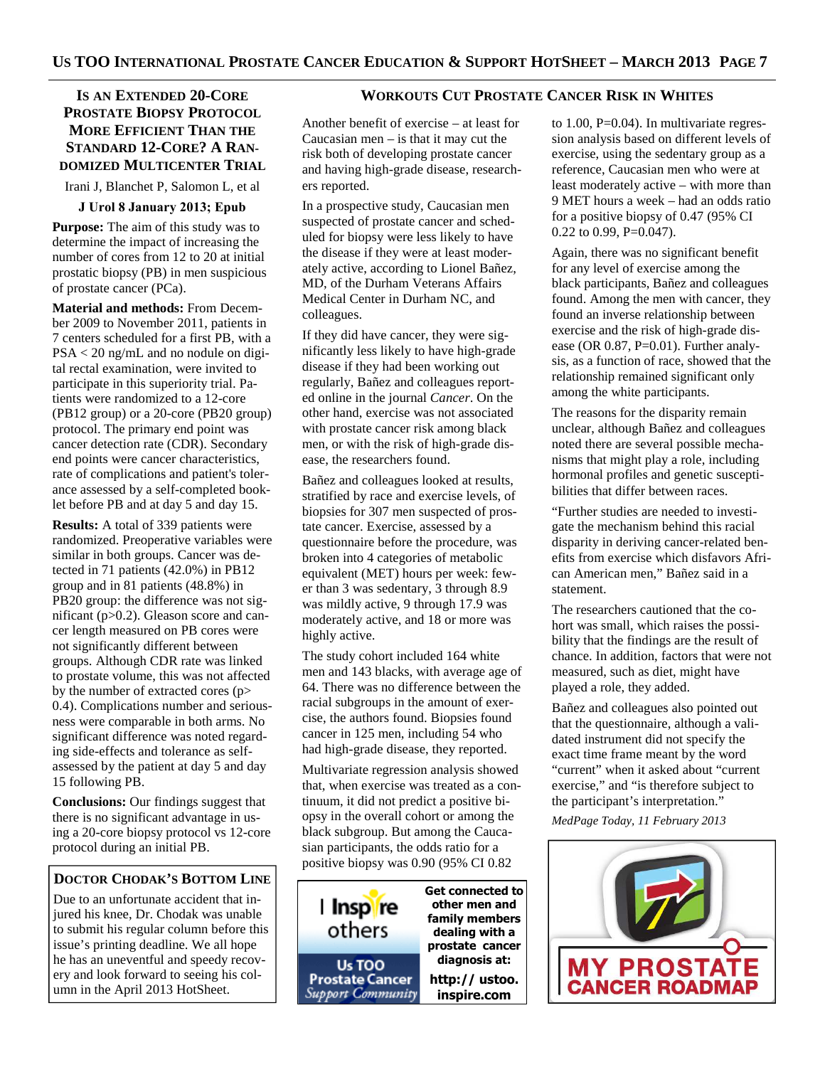# **IS AN EXTENDED 20-CORE PROSTATE BIOPSY PROTOCOL MORE EFFICIENT THAN THE STANDARD 12-CORE? A RAN-DOMIZED MULTICENTER TRIAL**

Irani J, Blanchet P, Salomon L, et al

#### **J Urol 8 January 2013; Epub**

**Purpose:** The aim of this study was to determine the impact of increasing the number of cores from 12 to 20 at initial prostatic biopsy (PB) in men suspicious of prostate cancer (PCa).

**Material and methods:** From December 2009 to November 2011, patients in 7 centers scheduled for a first PB, with a PSA < 20 ng/mL and no nodule on digital rectal examination, were invited to participate in this superiority trial. Patients were randomized to a 12-core (PB12 group) or a 20-core (PB20 group) protocol. The primary end point was cancer detection rate (CDR). Secondary end points were cancer characteristics, rate of complications and patient's tolerance assessed by a self-completed booklet before PB and at day 5 and day 15.

**Results:** A total of 339 patients were randomized. Preoperative variables were similar in both groups. Cancer was detected in 71 patients (42.0%) in PB12 group and in 81 patients (48.8%) in PB20 group: the difference was not significant (p>0.2). Gleason score and cancer length measured on PB cores were not significantly different between groups. Although CDR rate was linked to prostate volume, this was not affected by the number of extracted cores (p> 0.4). Complications number and seriousness were comparable in both arms. No significant difference was noted regarding side-effects and tolerance as selfassessed by the patient at day 5 and day 15 following PB.

**Conclusions:** Our findings suggest that there is no significant advantage in using a 20-core biopsy protocol vs 12-core protocol during an initial PB.

# **DOCTOR CHODAK'S BOTTOM LINE**

Due to an unfortunate accident that injured his knee, Dr. Chodak was unable to submit his regular column before this issue's printing deadline. We all hope he has an uneventful and speedy recovery and look forward to seeing his column in the April 2013 HotSheet.

#### **WORKOUTS CUT PROSTATE CANCER RISK IN WHITES**

Another benefit of exercise – at least for Caucasian men  $-$  is that it may cut the risk both of developing prostate cancer and having high-grade disease, researchers reported.

In a prospective study, Caucasian men suspected of prostate cancer and scheduled for biopsy were less likely to have the disease if they were at least moderately active, according to Lionel Bañez, MD, of the Durham Veterans Affairs Medical Center in Durham NC, and colleagues.

If they did have cancer, they were significantly less likely to have high-grade disease if they had been working out regularly, Bañez and colleagues reported online in the journal *Cancer*. On the other hand, exercise was not associated with prostate cancer risk among black men, or with the risk of high-grade disease, the researchers found.

Bañez and colleagues looked at results, stratified by race and exercise levels, of biopsies for 307 men suspected of prostate cancer. Exercise, assessed by a questionnaire before the procedure, was broken into 4 categories of metabolic equivalent (MET) hours per week: fewer than 3 was sedentary, 3 through 8.9 was mildly active, 9 through 17.9 was moderately active, and 18 or more was highly active.

The study cohort included 164 white men and 143 blacks, with average age of 64. There was no difference between the racial subgroups in the amount of exercise, the authors found. Biopsies found cancer in 125 men, including 54 who had high-grade disease, they reported.

Multivariate regression analysis showed that, when exercise was treated as a continuum, it did not predict a positive biopsy in the overall cohort or among the black subgroup. But among the Caucasian participants, the odds ratio for a positive biopsy was 0.90 (95% CI 0.82



to  $1.00$ ,  $P=0.04$ ). In multivariate regression analysis based on different levels of exercise, using the sedentary group as a reference, Caucasian men who were at least moderately active – with more than 9 MET hours a week – had an odds ratio for a positive biopsy of 0.47 (95% CI 0.22 to 0.99, P=0.047).

Again, there was no significant benefit for any level of exercise among the black participants, Bañez and colleagues found. Among the men with cancer, they found an inverse relationship between exercise and the risk of high-grade disease (OR 0.87, P=0.01). Further analysis, as a function of race, showed that the relationship remained significant only among the white participants.

The reasons for the disparity remain unclear, although Bañez and colleagues noted there are several possible mechanisms that might play a role, including hormonal profiles and genetic susceptibilities that differ between races.

"Further studies are needed to investigate the mechanism behind this racial disparity in deriving cancer-related benefits from exercise which disfavors African American men," Bañez said in a statement.

The researchers cautioned that the cohort was small, which raises the possibility that the findings are the result of chance. In addition, factors that were not measured, such as diet, might have played a role, they added.

Bañez and colleagues also pointed out that the questionnaire, although a validated instrument did not specify the exact time frame meant by the word "current" when it asked about "current exercise," and "is therefore subject to the participant's interpretation."

*MedPage Today, 11 February 2013*